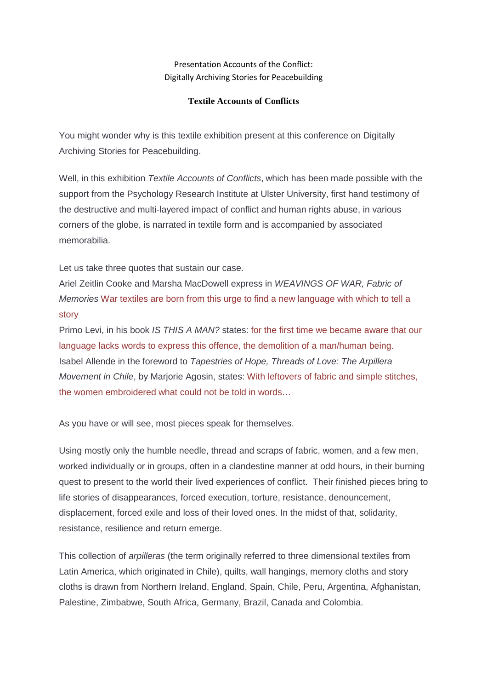## Presentation Accounts of the Conflict: Digitally Archiving Stories for Peacebuilding

## **Textile Accounts of Conflicts**

You might wonder why is this textile exhibition present at this conference on Digitally Archiving Stories for Peacebuilding.

Well, in this exhibition *Textile Accounts of Conflicts*, which has been made possible with the support from the Psychology Research Institute at Ulster University, first hand testimony of the destructive and multi-layered impact of conflict and human rights abuse, in various corners of the globe, is narrated in textile form and is accompanied by associated memorabilia.

Let us take three quotes that sustain our case.

Ariel Zeitlin Cooke and Marsha MacDowell express in WEAVINGS OF WAR, Fabric of Memories War textiles are born from this urge to find a new language with which to tell a story

Primo Levi, in his book IS THIS A MAN? states: for the first time we became aware that our language lacks words to express this offence, the demolition of a man/human being. Isabel Allende in the foreword to Tapestries of Hope, Threads of Love: The Arpillera Movement in Chile, by Mariorie Agosin, states: With leftovers of fabric and simple stitches, the women embroidered what could not be told in words…

As you have or will see, most pieces speak for themselves.

Using mostly only the humble needle, thread and scraps of fabric, women, and a few men, worked individually or in groups, often in a clandestine manner at odd hours, in their burning quest to present to the world their lived experiences of conflict. Their finished pieces bring to life stories of disappearances, forced execution, torture, resistance, denouncement, displacement, forced exile and loss of their loved ones. In the midst of that, solidarity, resistance, resilience and return emerge.

This collection of arpilleras (the term originally referred to three dimensional textiles from Latin America, which originated in Chile), quilts, wall hangings, memory cloths and story cloths is drawn from Northern Ireland, England, Spain, Chile, Peru, Argentina, Afghanistan, Palestine, Zimbabwe, South Africa, Germany, Brazil, Canada and Colombia.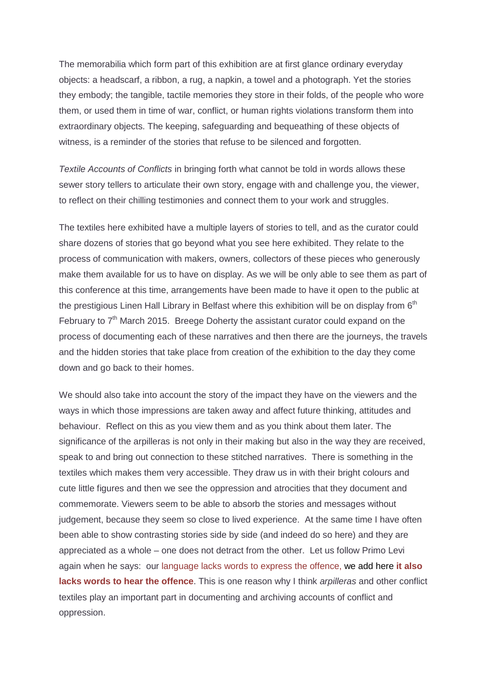The memorabilia which form part of this exhibition are at first glance ordinary everyday objects: a headscarf, a ribbon, a rug, a napkin, a towel and a photograph. Yet the stories they embody; the tangible, tactile memories they store in their folds, of the people who wore them, or used them in time of war, conflict, or human rights violations transform them into extraordinary objects. The keeping, safeguarding and bequeathing of these objects of witness, is a reminder of the stories that refuse to be silenced and forgotten.

Textile Accounts of Conflicts in bringing forth what cannot be told in words allows these sewer story tellers to articulate their own story, engage with and challenge you, the viewer, to reflect on their chilling testimonies and connect them to your work and struggles.

The textiles here exhibited have a multiple layers of stories to tell, and as the curator could share dozens of stories that go beyond what you see here exhibited. They relate to the process of communication with makers, owners, collectors of these pieces who generously make them available for us to have on display. As we will be only able to see them as part of this conference at this time, arrangements have been made to have it open to the public at the prestigious Linen Hall Library in Belfast where this exhibition will be on display from  $6<sup>th</sup>$ February to  $7<sup>th</sup>$  March 2015. Breege Doherty the assistant curator could expand on the process of documenting each of these narratives and then there are the journeys, the travels and the hidden stories that take place from creation of the exhibition to the day they come down and go back to their homes.

We should also take into account the story of the impact they have on the viewers and the ways in which those impressions are taken away and affect future thinking, attitudes and behaviour. Reflect on this as you view them and as you think about them later. The significance of the arpilleras is not only in their making but also in the way they are received, speak to and bring out connection to these stitched narratives. There is something in the textiles which makes them very accessible. They draw us in with their bright colours and cute little figures and then we see the oppression and atrocities that they document and commemorate. Viewers seem to be able to absorb the stories and messages without judgement, because they seem so close to lived experience. At the same time I have often been able to show contrasting stories side by side (and indeed do so here) and they are appreciated as a whole – one does not detract from the other. Let us follow Primo Levi again when he says: our language lacks words to express the offence, we add here **it also lacks words to hear the offence**. This is one reason why I think *arpilleras* and other conflict textiles play an important part in documenting and archiving accounts of conflict and oppression.